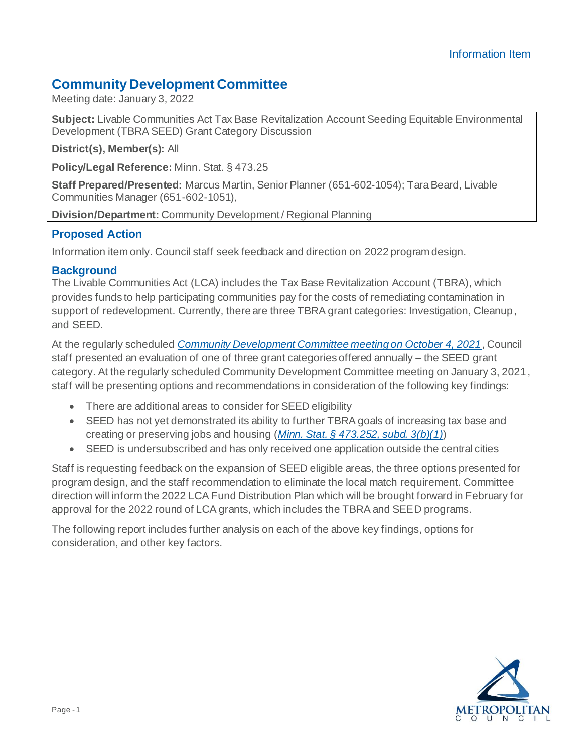# **Community Development Committee**

Meeting date: January 3, 2022

**Subject:** Livable Communities Act Tax Base Revitalization Account Seeding Equitable Environmental Development (TBRA SEED) Grant Category Discussion

**District(s), Member(s):** All

**Policy/Legal Reference:** Minn. Stat. § 473.25

**Staff Prepared/Presented:** Marcus Martin, Senior Planner (651-602-1054); Tara Beard, Livable Communities Manager (651-602-1051),

**Division/Department:** Community Development / Regional Planning

# **Proposed Action**

Information item only. Council staff seek feedback and direction on 2022 program design.

# **Background**

The Livable Communities Act (LCA) includes the Tax Base Revitalization Account (TBRA), which provides funds to help participating communities pay for the costs of remediating contamination in support of redevelopment. Currently, there are three TBRA grant categories: Investigation, Cleanup, and SEED.

At the regularly scheduled *[Community Development Committee meeting on October 4, 2021](https://metrocouncil.org/Council-Meetings/Committees/Community-Development-Committee/2021/October-4,-2021/Evaluation-of-the-Livable-Communities-Tax-Base-Rev.aspx)*, Council staff presented an evaluation of one of three grant categories offered annually – the SEED grant category. At the regularly scheduled Community Development Committee meeting on January 3, 2021, staff will be presenting options and recommendations in consideration of the following key findings:

- There are additional areas to consider for SEED eligibility
- SEED has not yet demonstrated its ability to further TBRA goals of increasing tax base and creating or preserving jobs and housing (*[Minn. Stat. § 473.252, subd. 3\(b\)\(1\)](https://www.revisor.mn.gov/statutes/cite/473.252#stat.473.252.3)*)
- SEED is undersubscribed and has only received one application outside the central cities

Staff is requesting feedback on the expansion of SEED eligible areas, the three options presented for program design, and the staff recommendation to eliminate the local match requirement. Committee direction will inform the 2022 LCA Fund Distribution Plan which will be brought forward in February for approval for the 2022 round of LCA grants, which includes the TBRA and SEED programs.

The following report includes further analysis on each of the above key findings, options for consideration, and other key factors.

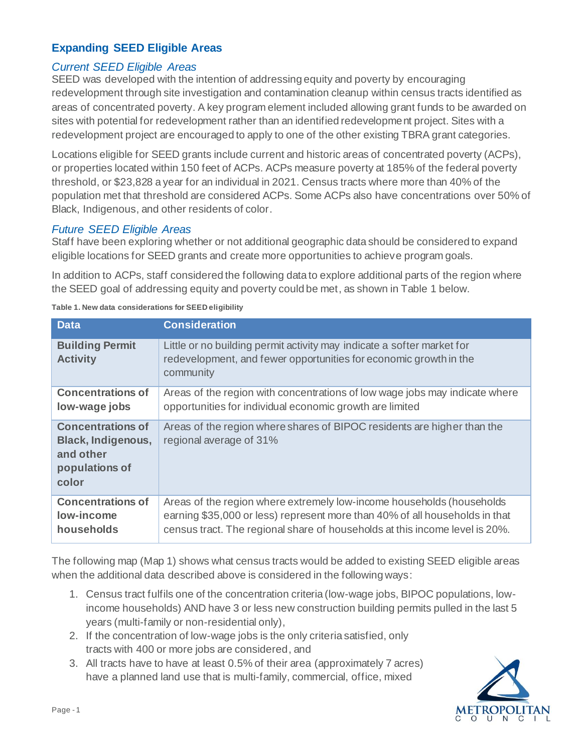# **Expanding SEED Eligible Areas**

# *Current SEED Eligible Areas*

SEED was developed with the intention of addressing equity and poverty by encouraging redevelopment through site investigation and contamination cleanup within census tracts identified as areas of concentrated poverty. A key program element included allowing grant funds to be awarded on sites with potential for redevelopment rather than an identified redevelopment project. Sites with a redevelopment project are encouraged to apply to one of the other existing TBRA grant categories.

Locations eligible for SEED grants include current and historic areas of concentrated poverty (ACPs), or properties located within 150 feet of ACPs. ACPs measure poverty at 185% of the federal poverty threshold, or \$23,828 a year for an individual in 2021. Census tracts where more than 40% of the population met that threshold are considered ACPs. Some ACPs also have concentrations over 50% of Black, Indigenous, and other residents of color.

# *Future SEED Eligible Areas*

Staff have been exploring whether or not additional geographic data should be considered to expand eligible locations for SEED grants and create more opportunities to achieve program goals.

In addition to ACPs, staff considered the following data to explore additional parts of the region where the SEED goal of addressing equity and poverty could be met, as shown in Table 1 below.

| <b>Data</b>                                                                                   | <b>Consideration</b>                                                                                                                                                                                                                |
|-----------------------------------------------------------------------------------------------|-------------------------------------------------------------------------------------------------------------------------------------------------------------------------------------------------------------------------------------|
| <b>Building Permit</b><br><b>Activity</b>                                                     | Little or no building permit activity may indicate a softer market for<br>redevelopment, and fewer opportunities for economic growth in the<br>community                                                                            |
| <b>Concentrations of</b><br>low-wage jobs                                                     | Areas of the region with concentrations of low wage jobs may indicate where<br>opportunities for individual economic growth are limited                                                                                             |
| <b>Concentrations of</b><br><b>Black, Indigenous,</b><br>and other<br>populations of<br>color | Areas of the region where shares of BIPOC residents are higher than the<br>regional average of 31%                                                                                                                                  |
| <b>Concentrations of</b><br>low-income<br>households                                          | Areas of the region where extremely low-income households (households<br>earning \$35,000 or less) represent more than 40% of all households in that<br>census tract. The regional share of households at this income level is 20%. |

**Table 1. New data considerations for SEED eligibility**

The following map (Map 1) shows what census tracts would be added to existing SEED eligible areas when the additional data described above is considered in the following ways:

- 1. Census tract fulfils one of the concentration criteria (low-wage jobs, BIPOC populations, lowincome households) AND have 3 or less new construction building permits pulled in the last 5 years (multi-family or non-residential only),
- 2. If the concentration of low-wage jobs is the only criteria satisfied, only tracts with 400 or more jobs are considered, and
- 3. All tracts have to have at least 0.5% of their area (approximately 7 acres) have a planned land use that is multi-family, commercial, office, mixed

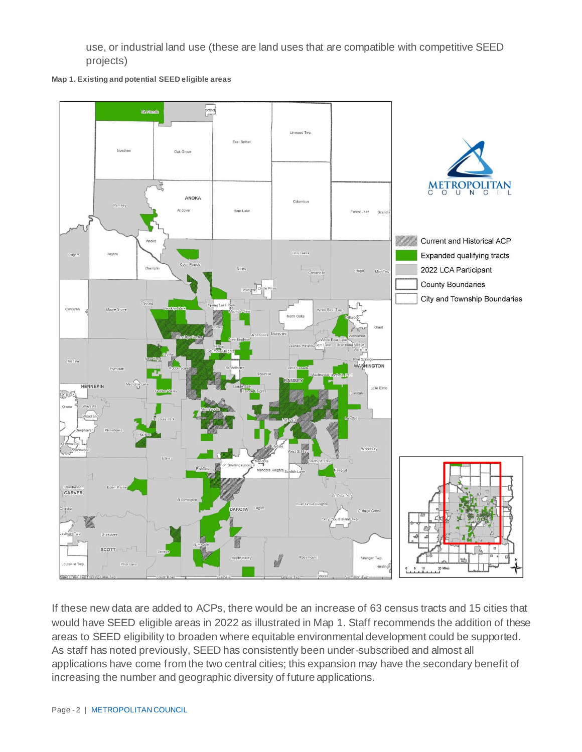use, or industrial land use (these are land uses that are compatible with competitive SEED projects)





If these new data are added to ACPs, there would be an increase of 63 census tracts and 15 cities that would have SEED eligible areas in 2022 as illustrated in Map 1. Staff recommends the addition of these areas to SEED eligibility to broaden where equitable environmental development could be supported. As staff has noted previously, SEED has consistently been under-subscribed and almost all applications have come from the two central cities; this expansion may have the secondary benefit of increasing the number and geographic diversity of future applications.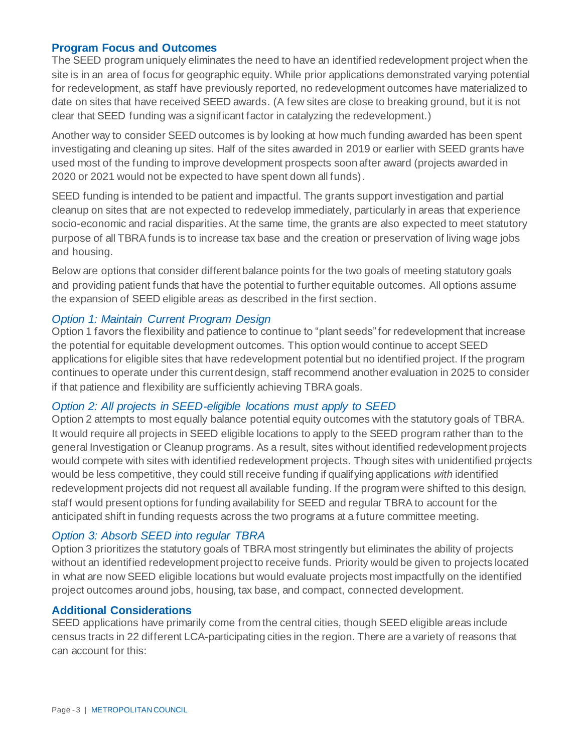#### **Program Focus and Outcomes**

The SEED program uniquely eliminates the need to have an identified redevelopment project when the site is in an area of focus for geographic equity. While prior applications demonstrated varying potential for redevelopment, as staff have previously reported, no redevelopment outcomes have materialized to date on sites that have received SEED awards. (A few sites are close to breaking ground, but it is not clear that SEED funding was a significant factor in catalyzing the redevelopment.)

Another way to consider SEED outcomes is by looking at how much funding awarded has been spent investigating and cleaning up sites. Half of the sites awarded in 2019 or earlier with SEED grants have used most of the funding to improve development prospects soon after award (projects awarded in 2020 or 2021 would not be expected to have spent down all funds).

SEED funding is intended to be patient and impactful. The grants support investigation and partial cleanup on sites that are not expected to redevelop immediately, particularly in areas that experience socio-economic and racial disparities. At the same time, the grants are also expected to meet statutory purpose of all TBRA funds is to increase tax base and the creation or preservation of living wage jobs and housing.

Below are options that consider different balance points for the two goals of meeting statutory goals and providing patient funds that have the potential to further equitable outcomes. All options assume the expansion of SEED eligible areas as described in the first section.

#### *Option 1: Maintain Current Program Design*

Option 1 favors the flexibility and patience to continue to "plant seeds" for redevelopment that increase the potential for equitable development outcomes. This option would continue to accept SEED applications for eligible sites that have redevelopment potential but no identified project. If the program continues to operate under this current design, staff recommend another evaluation in 2025 to consider if that patience and flexibility are sufficiently achieving TBRA goals.

#### *Option 2: All projects in SEED-eligible locations must apply to SEED*

Option 2 attempts to most equally balance potential equity outcomes with the statutory goals of TBRA. It would require all projects in SEED eligible locations to apply to the SEED program rather than to the general Investigation or Cleanup programs. As a result, sites without identified redevelopment projects would compete with sites with identified redevelopment projects. Though sites with unidentified projects would be less competitive, they could still receive funding if qualifying applications *with* identified redevelopment projects did not request all available funding. If the program were shifted to this design, staff would present options for funding availability for SEED and regular TBRA to account for the anticipated shift in funding requests across the two programs at a future committee meeting.

### *Option 3: Absorb SEED into regular TBRA*

Option 3 prioritizes the statutory goals of TBRA most stringently but eliminates the ability of projects without an identified redevelopment project to receive funds. Priority would be given to projects located in what are now SEED eligible locations but would evaluate projects most impactfully on the identified project outcomes around jobs, housing, tax base, and compact, connected development.

#### **Additional Considerations**

SEED applications have primarily come from the central cities, though SEED eligible areas include census tracts in 22 different LCA-participating cities in the region. There are a variety of reasons that can account for this: